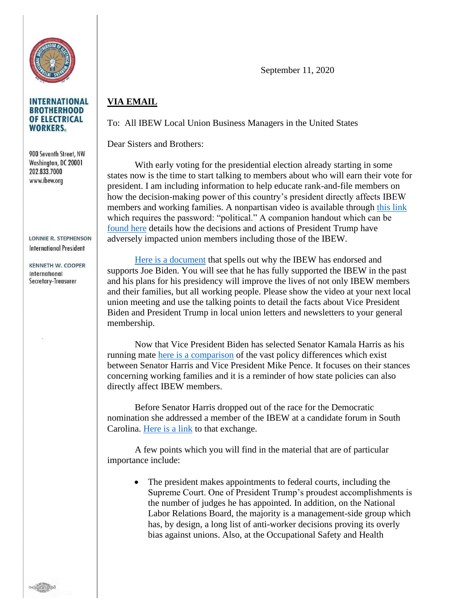

## **INTERNATIONAL BROTHERHOOD** OF ELECTRICAL **WORKERS**

900 Seventh Street, NW Washington, DC 20001 202.833.7000 www.ibew.org

**LONNIE R. STEPHENSON International President** 

**KENNETH W. COOPER** International Secretary-Treasurer

September 11, 2020

## **VIA EMAIL**

To: All IBEW Local Union Business Managers in the United States

Dear Sisters and Brothers:

With early voting for the presidential election already starting in some states now is the time to start talking to members about who will earn their vote for president. I am including information to help educate rank-and-file members on how the decision-making power of this country's president directly affects IBEW members and working families. A nonpartisan video is available through [this link](https://vimeo.com/431571993) which requires the password: "political." A companion handout which can be [found here](http://www.ibew.org/Portals/22/2020Votes/Union%20Members%20and%20Federal%20Law_FORMATTEDv5.pdf?ver=2020-09-09-151432-823) details how the decisions and actions of President Trump have adversely impacted union members including those of the IBEW.

[Here is a document](http://www.ibew.org/Portals/22/2020Votes/IBEW_BidenGuidance.pdf?ver=2020-09-09-151431-983) that spells out why the IBEW has endorsed and supports Joe Biden. You will see that he has fully supported the IBEW in the past and his plans for his presidency will improve the lives of not only IBEW members and their families, but all working people. Please show the video at your next local union meeting and use the talking points to detail the facts about Vice President Biden and President Trump in local union letters and newsletters to your general membership.

Now that Vice President Biden has selected Senator Kamala Harris as his running mate [here is a comparison](http://www.ibew.org/Portals/22/2020Votes/IBEW_HarrisPenceGuidance_v4.pdf?ver=2020-09-09-151432-303) of the vast policy differences which exist between Senator Harris and Vice President Mike Pence. It focuses on their stances concerning working families and it is a reminder of how state policies can also directly affect IBEW members.

Before Senator Harris dropped out of the race for the Democratic nomination she addressed a member of the IBEW at a candidate forum in South Carolina. [Here is a link](http://www.ibew.org/media-center/Video/Sen-Kamala-Harris-on-Why-Unions-Matter) to that exchange.

A few points which you will find in the material that are of particular importance include:

• The president makes appointments to federal courts, including the Supreme Court. One of President Trump's proudest accomplishments is the number of judges he has appointed. In addition, on the National Labor Relations Board, the majority is a management-side group which has, by design, a long list of anti-worker decisions proving its overly bias against unions. Also, at the Occupational Safety and Health